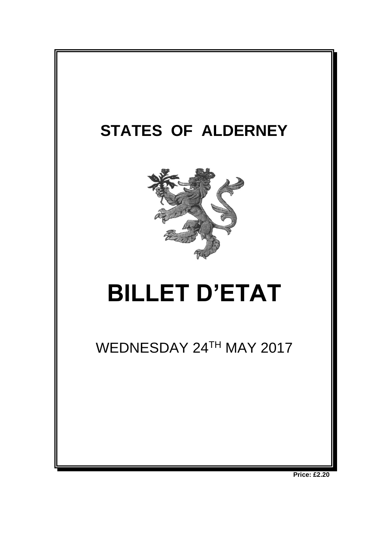

**Price: £2.20**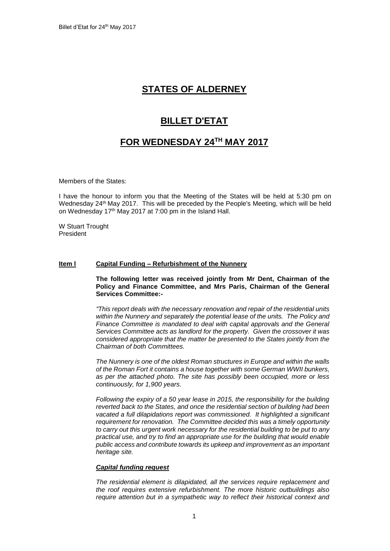# **STATES OF ALDERNEY**

# **BILLET D'ETAT**

# **FOR WEDNESDAY 24TH MAY 2017**

Members of the States:

I have the honour to inform you that the Meeting of the States will be held at 5:30 pm on Wednesday 24<sup>th</sup> May 2017. This will be preceded by the People's Meeting, which will be held on Wednesday 17th May 2017 at 7:00 pm in the Island Hall.

W Stuart Trought President

# **Item l Capital Funding – Refurbishment of the Nunnery**

**The following letter was received jointly from Mr Dent, Chairman of the Policy and Finance Committee, and Mrs Paris, Chairman of the General Services Committee:-**

*"This report deals with the necessary renovation and repair of the residential units within the Nunnery and separately the potential lease of the units. The Policy and Finance Committee is mandated to deal with capital approvals and the General Services Committee acts as landlord for the property. Given the crossover it was considered appropriate that the matter be presented to the States jointly from the Chairman of both Committees.*

*The Nunnery is one of the oldest Roman structures in Europe and within the walls of the Roman Fort it contains a house together with some German WWII bunkers, as per the attached photo. The site has possibly been occupied, more or less continuously, for 1,900 years.* 

*Following the expiry of a 50 year lease in 2015, the responsibility for the building reverted back to the States, and once the residential section of building had been vacated a full dilapidations report was commissioned. It highlighted a significant requirement for renovation. The Committee decided this was a timely opportunity to carry out this urgent work necessary for the residential building to be put to any practical use, and try to find an appropriate use for the building that would enable public access and contribute towards its upkeep and improvement as an important heritage site.*

## *Capital funding request*

*The residential element is dilapidated, all the services require replacement and the roof requires extensive refurbishment. The more historic outbuildings also require attention but in a sympathetic way to reflect their historical context and*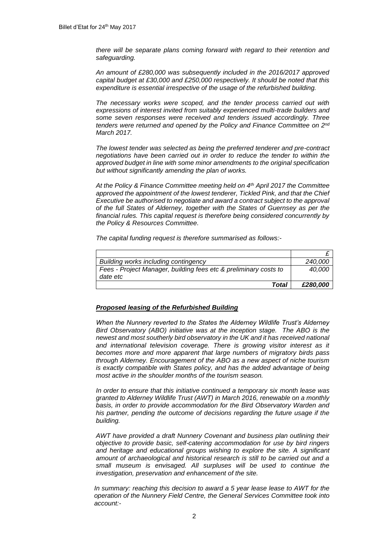*there will be separate plans coming forward with regard to their retention and safeguarding.* 

*An amount of £280,000 was subsequently included in the 2016/2017 approved capital budget at £30,000 and £250,000 respectively. It should be noted that this expenditure is essential irrespective of the usage of the refurbished building.* 

*The necessary works were scoped, and the tender process carried out with expressions of interest invited from suitably experienced multi-trade builders and some seven responses were received and tenders issued accordingly. Three tenders were returned and opened by the Policy and Finance Committee on 2nd March 2017.*

*The lowest tender was selected as being the preferred tenderer and pre-contract negotiations have been carried out in order to reduce the tender to within the approved budget in line with some minor amendments to the original specification but without significantly amending the plan of works.* 

*At the Policy & Finance Committee meeting held on 4th April 2017 the Committee*  approved the appointment of the lowest tenderer, Tickled Pink, and that the Chief *Executive be authorised to negotiate and award a contract subject to the approval of the full States of Alderney, together with the States of Guernsey as per the financial rules. This capital request is therefore being considered concurrently by the Policy & Resources Committee.*

*The capital funding request is therefore summarised as follows:-*

| Building works including contingency                                         | 240.000  |
|------------------------------------------------------------------------------|----------|
| Fees - Project Manager, building fees etc & preliminary costs to<br>date etc | 40.000   |
| Total                                                                        | £280,000 |

#### *Proposed leasing of the Refurbished Building*

*When the Nunnery reverted to the States the Alderney Wildlife Trust's Alderney Bird Observatory (ABO) initiative was at the inception stage. The ABO is the newest and most southerly bird observatory in the UK and it has received national and international television coverage. There is growing visitor interest as it becomes more and more apparent that large numbers of migratory birds pass through Alderney. Encouragement of the ABO as a new aspect of niche tourism is exactly compatible with States policy, and has the added advantage of being most active in the shoulder months of the tourism season.*

*In order to ensure that this initiative continued a temporary six month lease was granted to Alderney Wildlife Trust (AWT) in March 2016, renewable on a monthly basis, in order to provide accommodation for the Bird Observatory Warden and his partner, pending the outcome of decisions regarding the future usage if the building.*

*AWT have provided a draft Nunnery Covenant and business plan outlining their objective to provide basic, self-catering accommodation for use by bird ringers and heritage and educational groups wishing to explore the site. A significant amount of archaeological and historical research is still to be carried out and a small museum is envisaged. All surpluses will be used to continue the investigation, preservation and enhancement of the site.* 

*In summary: reaching this decision to award a 5 year lease lease to AWT for the operation of the Nunnery Field Centre, the General Services Committee took into account:-*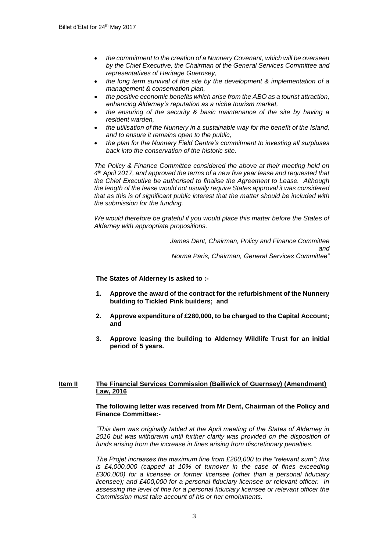- *the commitment to the creation of a Nunnery Covenant, which will be overseen by the Chief Executive, the Chairman of the General Services Committee and representatives of Heritage Guernsey,*
- *the long term survival of the site by the development & implementation of a management & conservation plan,*
- *the positive economic benefits which arise from the ABO as a tourist attraction, enhancing Alderney's reputation as a niche tourism market,*
- *the ensuring of the security & basic maintenance of the site by having a resident warden,*
- *the utilisation of the Nunnery in a sustainable way for the benefit of the Island, and to ensure it remains open to the public,*
- *the plan for the Nunnery Field Centre's commitment to investing all surpluses back into the conservation of the historic site.*

*The Policy & Finance Committee considered the above at their meeting held on 4 th April 2017, and approved the terms of a new five year lease and requested that the Chief Executive be authorised to finalise the Agreement to Lease. Although the length of the lease would not usually require States approval it was considered that as this is of significant public interest that the matter should be included with the submission for the funding.*

*We would therefore be grateful if you would place this matter before the States of Alderney with appropriate propositions.*

> *James Dent, Chairman, Policy and Finance Committee and Norma Paris, Chairman, General Services Committee"*

**The States of Alderney is asked to :-**

- **1. Approve the award of the contract for the refurbishment of the Nunnery building to Tickled Pink builders; and**
- **2. Approve expenditure of £280,000, to be charged to the Capital Account; and**
- **3. Approve leasing the building to Alderney Wildlife Trust for an initial period of 5 years.**

## **Item II The Financial Services Commission (Bailiwick of Guernsey) (Amendment) Law, 2016**

### **The following letter was received from Mr Dent, Chairman of the Policy and Finance Committee:-**

*"This item was originally tabled at the April meeting of the States of Alderney in*  2016 but was withdrawn until further clarity was provided on the disposition of *funds arising from the increase in fines arising from discretionary penalties.* 

*The Projet increases the maximum fine from £200,000 to the "relevant sum"; this is £4,000,000 (capped at 10% of turnover in the case of fines exceeding £300,000) for a licensee or former licensee (other than a personal fiduciary licensee); and £400,000 for a personal fiduciary licensee or relevant officer. In assessing the level of fine for a personal fiduciary licensee or relevant officer the Commission must take account of his or her emoluments.*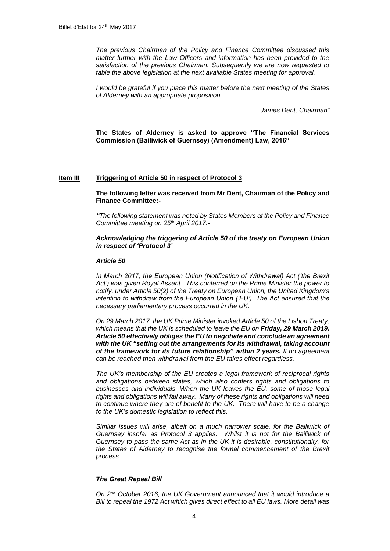*The previous Chairman of the Policy and Finance Committee discussed this matter further with the Law Officers and information has been provided to the satisfaction of the previous Chairman. Subsequently we are now requested to table the above legislation at the next available States meeting for approval.*

*I would be grateful if you place this matter before the next meeting of the States of Alderney with an appropriate proposition.*

*James Dent, Chairman"*

**The States of Alderney is asked to approve "The Financial Services Commission (Bailiwick of Guernsey) (Amendment) Law, 2016"**

#### **Item III Triggering of Article 50 in respect of Protocol 3**

**The following letter was received from Mr Dent, Chairman of the Policy and Finance Committee:-**

*"The following statement was noted by States Members at the Policy and Finance Committee meeting on 25th April 2017:-*

### *Acknowledging the triggering of Article 50 of the treaty on European Union in respect of 'Protocol 3'*

### *Article 50*

*In March 2017, the European Union (Notification of Withdrawal) Act ('the Brexit Act') was given Royal Assent. This conferred on the Prime Minister the power to notify, under Article 50(2) of the Treaty on European Union, the United Kingdom's intention to withdraw from the European Union ('EU'). The Act ensured that the necessary parliamentary process occurred in the UK.* 

*On 29 March 2017, the UK Prime Minister invoked Article 50 of the Lisbon Treaty, which means that the UK is scheduled to leave the EU on Friday, 29 March 2019. Article 50 effectively obliges the EU to negotiate and conclude an agreement with the UK "setting out the arrangements for its withdrawal, taking account of the framework for its future relationship" within 2 years. If no agreement can be reached then withdrawal from the EU takes effect regardless.* 

*The UK's membership of the EU creates a legal framework of reciprocal rights and obligations between states, which also confers rights and obligations to businesses and individuals. When the UK leaves the EU, some of those legal rights and obligations will fall away. Many of these rights and obligations will need to continue where they are of benefit to the UK. There will have to be a change to the UK's domestic legislation to reflect this.* 

*Similar issues will arise, albeit on a much narrower scale, for the Bailiwick of Guernsey insofar as Protocol 3 applies. Whilst it is not for the Bailiwick of Guernsey to pass the same Act as in the UK it is desirable, constitutionally, for the States of Alderney to recognise the formal commencement of the Brexit process.*

#### *The Great Repeal Bill*

*On 2nd October 2016, the UK Government announced that it would introduce a Bill to repeal the 1972 Act which gives direct effect to all EU laws. More detail was*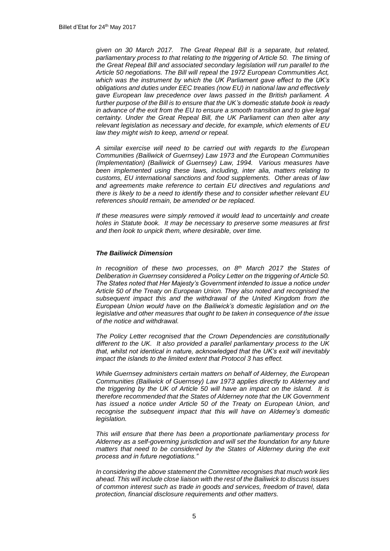*given on 30 March 2017. The Great Repeal Bill is a separate, but related, parliamentary process to that relating to the triggering of Article 50. The timing of the Great Repeal Bill and associated secondary legislation will run parallel to the Article 50 negotiations. The Bill will repeal the 1972 European Communities Act, which was the instrument by which the UK Parliament gave effect to the UK's obligations and duties under EEC treaties (now EU) in national law and effectively gave European law precedence over laws passed in the British parliament. A further purpose of the Bill is to ensure that the UK's domestic statute book is ready in advance of the exit from the EU to ensure a smooth transition and to give legal certainty. Under the Great Repeal Bill, the UK Parliament can then alter any relevant legislation as necessary and decide, for example, which elements of EU law they might wish to keep, amend or repeal.*

*A similar exercise will need to be carried out with regards to the European Communities (Bailiwick of Guernsey) Law 1973 and the European Communities (Implementation) (Bailiwick of Guernsey) Law, 1994. Various measures have been implemented using these laws, including, inter alia, matters relating to customs, EU international sanctions and food supplements. Other areas of law and agreements make reference to certain EU directives and regulations and there is likely to be a need to identify these and to consider whether relevant EU references should remain, be amended or be replaced.* 

*If these measures were simply removed it would lead to uncertainly and create holes in Statute book. It may be necessary to preserve some measures at first and then look to unpick them, where desirable, over time.*

## *The Bailiwick Dimension*

*In recognition of these two processes, on 8th March 2017 the States of Deliberation in Guernsey considered a Policy Letter on the triggering of Article 50. The States noted that Her Majesty's Government intended to issue a notice under Article 50 of the Treaty on European Union. They also noted and recognised the subsequent impact this and the withdrawal of the United Kingdom from the European Union would have on the Bailiwick's domestic legislation and on the legislative and other measures that ought to be taken in consequence of the issue of the notice and withdrawal.* 

*The Policy Letter recognised that the Crown Dependencies are constitutionally different to the UK. It also provided a parallel parliamentary process to the UK that, whilst not identical in nature, acknowledged that the UK's exit will inevitably impact the islands to the limited extent that Protocol 3 has effect.* 

*While Guernsey administers certain matters on behalf of Alderney, the European Communities (Bailiwick of Guernsey) Law 1973 applies directly to Alderney and the triggering by the UK of Article 50 will have an impact on the island. It is therefore recommended that the States of Alderney note that the UK Government*  has issued a notice under Article 50 of the Treaty on European Union, and *recognise the subsequent impact that this will have on Alderney's domestic legislation.*

*This will ensure that there has been a proportionate parliamentary process for Alderney as a self-governing jurisdiction and will set the foundation for any future*  matters that need to be considered by the States of Alderney during the exit *process and in future negotiations."*

*In considering the above statement the Committee recognises that much work lies ahead. This will include close liaison with the rest of the Bailiwick to discuss issues of common interest such as trade in goods and services, freedom of travel, data protection, financial disclosure requirements and other matters.*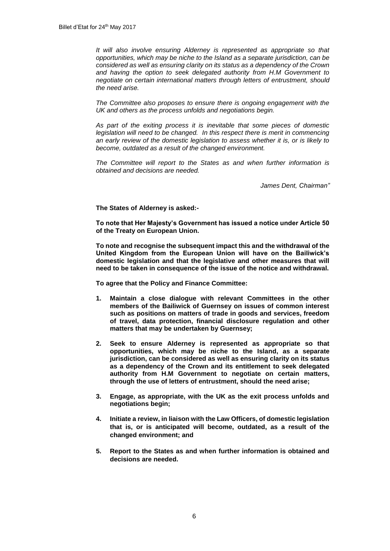*It will also involve ensuring Alderney is represented as appropriate so that opportunities, which may be niche to the Island as a separate jurisdiction, can be considered as well as ensuring clarity on its status as a dependency of the Crown and having the option to seek delegated authority from H.M Government to negotiate on certain international matters through letters of entrustment, should the need arise.*

*The Committee also proposes to ensure there is ongoing engagement with the UK and others as the process unfolds and negotiations begin.*

*As part of the exiting process it is inevitable that some pieces of domestic legislation will need to be changed. In this respect there is merit in commencing an early review of the domestic legislation to assess whether it is, or is likely to become, outdated as a result of the changed environment.*

*The Committee will report to the States as and when further information is obtained and decisions are needed.* 

*James Dent, Chairman"*

**The States of Alderney is asked:-**

**To note that Her Majesty's Government has issued a notice under Article 50 of the Treaty on European Union.**

**To note and recognise the subsequent impact this and the withdrawal of the United Kingdom from the European Union will have on the Bailiwick's domestic legislation and that the legislative and other measures that will need to be taken in consequence of the issue of the notice and withdrawal.** 

**To agree that the Policy and Finance Committee:** 

- **1. Maintain a close dialogue with relevant Committees in the other members of the Bailiwick of Guernsey on issues of common interest such as positions on matters of trade in goods and services, freedom of travel, data protection, financial disclosure regulation and other matters that may be undertaken by Guernsey;**
- **2. Seek to ensure Alderney is represented as appropriate so that opportunities, which may be niche to the Island, as a separate jurisdiction, can be considered as well as ensuring clarity on its status as a dependency of the Crown and its entitlement to seek delegated authority from H.M Government to negotiate on certain matters, through the use of letters of entrustment, should the need arise;**
- **3. Engage, as appropriate, with the UK as the exit process unfolds and negotiations begin;**
- **4. Initiate a review, in liaison with the Law Officers, of domestic legislation that is, or is anticipated will become, outdated, as a result of the changed environment; and**
- **5. Report to the States as and when further information is obtained and decisions are needed.**